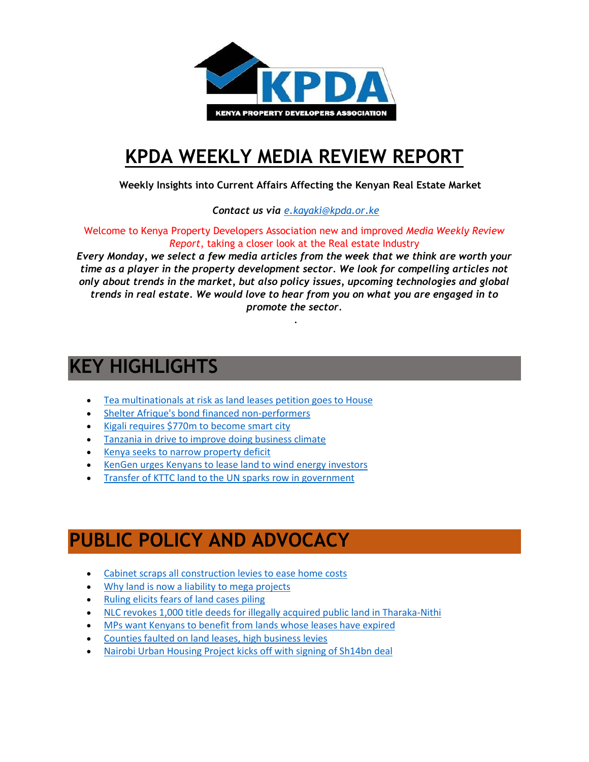

# **[KPDA WEEKLY MEDIA REVIEW REPORT](http://kpda.or.ke/)**

 **Weekly Insights into Current Affairs Affecting the Kenyan Real Estate Market**

 *Contact us via [e.kayaki@kpda.or](mailto:e.kayaki@kpda.or.ke).ke*

Welcome to Kenya Property Developers Association new and improved *Media Weekly Review Report*, taking a closer look at the Real estate Industry

*Every Monday, we select a few media articles from the week that we think are worth your time as a player in the property development sector. We look for compelling articles not only about trends in the market, but also policy issues, upcoming technologies and global trends in real estate. We would love to hear from you on what you are engaged in to promote the sector.*

.

# **KEY HIGHLIGHTS**

- [Tea multinationals at risk as land leases petition goes to House](http://www.businessdailyafrica.com/Tea-multinationals-risk-as-land-leases-/539546-3462660-sgnthd/index.html)
- [Shelter Afrique's bond financed non-performers](http://www.theeastafrican.co.ke/business/Shelter-Afrique-bond-financed-non-performers-/2560-3460732-9kr02rz/index.html)
- [Kigali requires \\$770m to become smart city](http://www.theeastafrican.co.ke/Rwanda/News/Kigali-requires--770m-to-become-smart-city-/1433218-3457288-13v49ae/index.html)
- **•** [Tanzania in drive to improve doing business climate](http://www.theeastafrican.co.ke/business/Tanzania-in-drive-to-improve-doing-business-climate/2560-3456654-horpp5/index.html)
- [Kenya seeks to narrow property deficit](http://www.cnbcafrica.com/video/?bctid=5182653115001)
- [KenGen urges Kenyans to lease land to wind energy investors](http://www.businessdailyafrica.com/Corporate-News/KenGen-urges-Kenyans-to-lease-land-to-wind-energy-investors/539550-3463206-1221kop/index.html)
- [Transfer of KTTC land to the UN sparks row in government](http://www.businessdailyafrica.com/Transfer-of-KTTC-land-to-the-UN-sparks-row-in-government/539546-3463870-dlj5krz/index.html)

## **PUBLIC POLICY AND ADVOCACY**

- [Cabinet scraps all construction levies to ease home costs](http://www.businessdailyafrica.com/Cabinet-scraps-all-construction-levies-to-ease-home-costs/539546-3461354-qmgfwn/index.html)
- [Why land is now a liability to mega projects](http://www.nation.co.ke/lifestyle/smartcompany/Why-land-is-now-a-liability-to-mega-projects-/1226-3461120-67ayxp/)
- [Ruling elicits fears of land cases piling](http://www.nation.co.ke/news/Ruling-sparks-fears-of-land-cases-piling/1056-3460190-1f4fcxz/index.html)
- [NLC revokes 1,000 title deeds for illegally acquired public land in Tharaka-Nithi](http://www.nation.co.ke/counties/tharaka-nithi-/illegal-title-deeds-revoked-Tharaka-Nithi/3370192-3461754-rqjmqq/index.html)
- [MPs want Kenyans to benefit from lands whose leases have expired](http://www.standardmedia.co.ke/article/2000224541/mps-want-kenyans-to-benefit-from-lands-whose-leases-have-expired)
- [Counties faulted on land leases, high business levies](http://www.nation.co.ke/counties/nakuru/Counties-faulted-on-land-leases-high-business-levies-/1183314-3458528-c0qxp5/index.html)
- [Nairobi Urban Housing Project kicks off with signing of Sh14bn deal](http://www.capitalfm.co.ke/news/2016/11/nairobi-urban-housing-project-kicks-off-signing-sh14bn-deal/)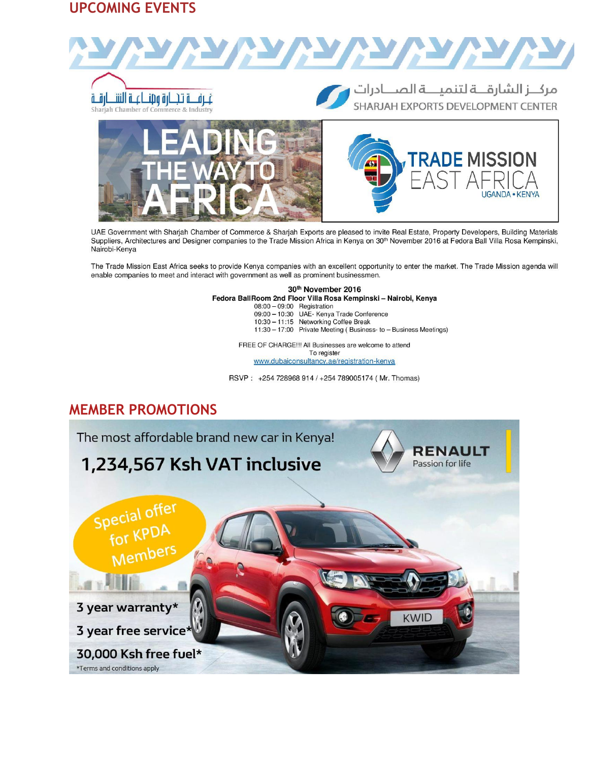#### **UPCOMING EVENTS**



UAE Government with Sharjah Chamber of Commerce & Sharjah Exports are pleased to invite Real Estate, Property Developers, Building Materials Suppliers, Architectures and Designer companies to the Trade Mission Africa in Kenya on 30<sup>th</sup> November 2016 at Fedora Ball Villa Rosa Kempinski, Nairobi-Kenya

The Trade Mission East Africa seeks to provide Kenya companies with an excellent opportunity to enter the market. The Trade Mission agenda will enable companies to meet and interact with government as well as prominent businessmen.

> 30th November 2016 Fedora BallRoom 2nd Floor Villa Rosa Kempinski - Nairobi, Kenya 08:00 - 09:00 Registration<br>09:00 - 10:30 UAE- Kenya Trade Conference 10:30 - 11:15 Networking Coffee Break 11:30 - 17:00 Private Meeting (Business- to - Business Meetings)

> > FREE OF CHARGE !!! All Businesses are welcome to attend To register

www.dubaiconsultancy.ae/registration-kenya

RSVP: +254 728968 914 / +254 789005174 (Mr. Thomas)

#### **MEMBER PROMOTIONS**